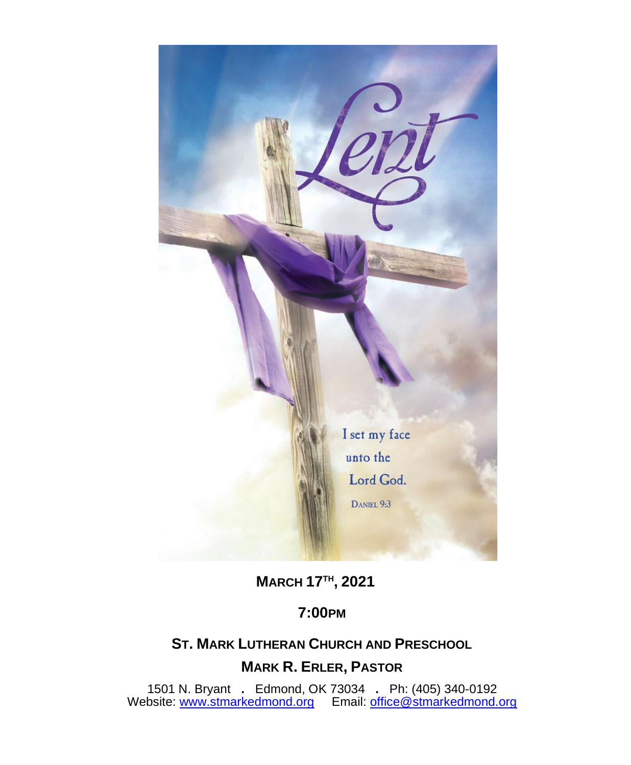

**MARCH 17TH , 2021**

# **7:00PM**

## **ST. MARK LUTHERAN CHURCH AND PRESCHOOL**

## **MARK R. ERLER, PASTOR**

 1501 N. Bryant **.** Edmond, OK 73034 **.** Ph: (405) 340-0192 Website: [www.stmarkedmond.org](http://www.stmarkedmond.org/) Email: [office@stmarkedmond.org](mailto:office@stmarkedmond.org)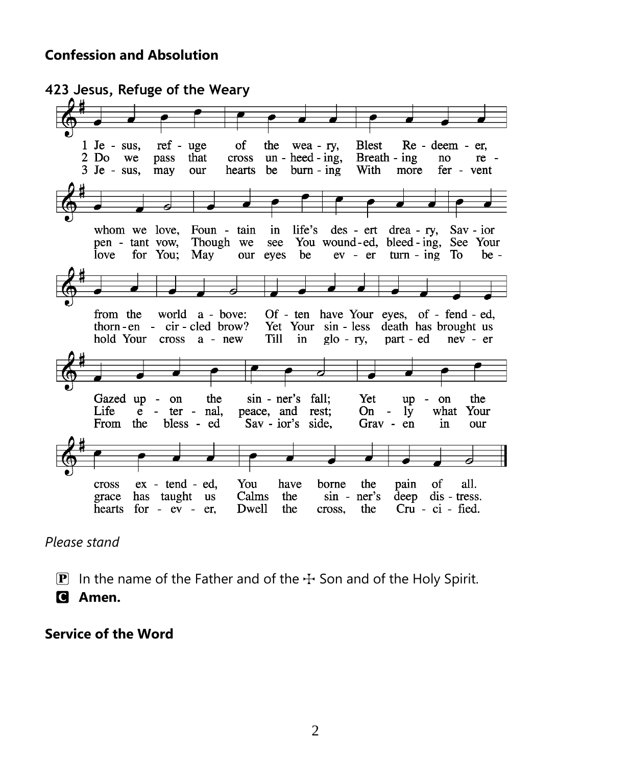#### **Confession and Absolution**

**423 Jesus, Refuge of the Weary**  $1$  Je - sus, ref - uge of the wea-ry, **Blest** Re - deem - er, 2 Do we pass that cross  $un - head - ing$ , Breath - ing no re - $3$  Je - sus, hearts be burn - ing fer - vent may our With more whom we love, Foun - tain in life's des - ert drea - ry,  $Sav - ior$ Though we see You wound-ed, bleed-ing, See Your pen - tant vow, love for You; May our eyes be  $ev - er$  turn - ing To  $be$ from the world a - bove: Of - ten have Your eyes, of - fend - ed, thorn-en - cir-cled brow? Yet Your sin - less death has brought us hold Your cross a - new Till in  $g$ lo - ry, part - ed  $nev - er$ Gazed up - on the sin - ner's fall; Yet up  $-$  on the Life  $e$  - ter nal, peace, and rest;  $On 1\bar{y}$ what Your bless - ed Grav - en From the Sav - ior's side, in our You of cross  $ex - tend - ed,$ have borne the pain all. grace has taught us Calms the  $sin - ner's$ deep dis - tress. hearts for - ev - er, Dwell the the Cru - ci - fied. cross,

*Please stand*

**P** In the name of the Father and of the  $\pm$  Son and of the Holy Spirit.

C **Amen.**

**Service of the Word**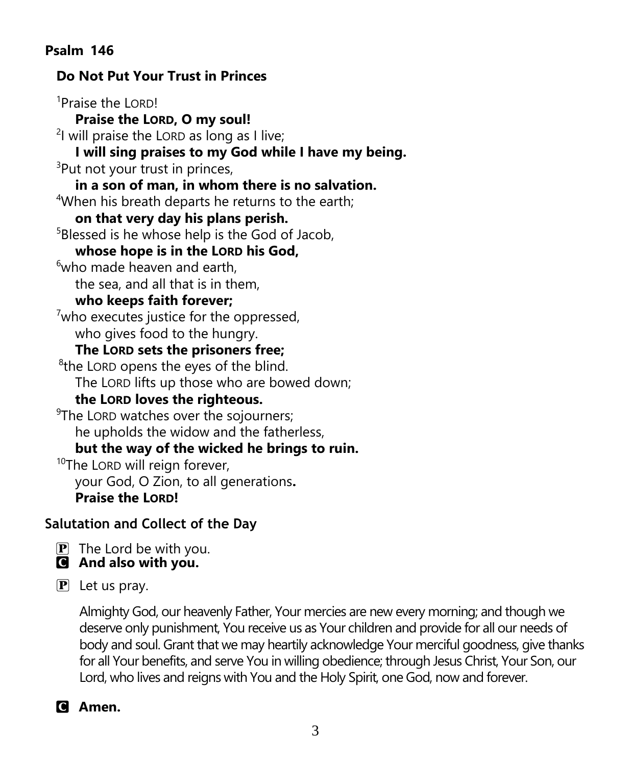## **Psalm 146**

## **Do Not Put Your Trust in Princes** <sup>1</sup>Praise the LORD!  **Praise the LORD, O my soul!** <sup>2</sup>l will praise the LORD as long as I live;  **I will sing praises to my God while I have my being.** <sup>3</sup>Put not your trust in princes,  **in a son of man, in whom there is no salvation.** <sup>4</sup>When his breath departs he returns to the earth;  **on that very day his plans perish.** <sup>5</sup>Blessed is he whose help is the God of Jacob,  **whose hope is in the LORD his God,**  $6$ who made heaven and earth, the sea, and all that is in them,  **who keeps faith forever;**  $7$ who executes justice for the oppressed, who gives food to the hungry.  **The LORD sets the prisoners free;** <sup>8</sup>the LORD opens the eyes of the blind. The LORD lifts up those who are bowed down;  **the LORD loves the righteous.** <sup>9</sup>The LORD watches over the sojourners; he upholds the widow and the fatherless,  **but the way of the wicked he brings to ruin.** <sup>10</sup>The LORD will reign forever, your God, O Zion, to all generations**. Praise the LORD!**

# **Salutation and Collect of the Day**

 $\mathbf{P}$  The Lord be with you. C **And also with you.**

 $\mathbf{P}$  Let us pray.

Almighty God, our heavenly Father, Your mercies are new every morning; and though we deserve only punishment, You receive us as Your children and provide for all our needs of body and soul. Grant that we may heartily acknowledge Your merciful goodness, give thanks for all Your benefits, and serve You in willing obedience; through Jesus Christ, Your Son, our Lord, who lives and reigns with You and the Holy Spirit, one God, now and forever.

C **Amen.**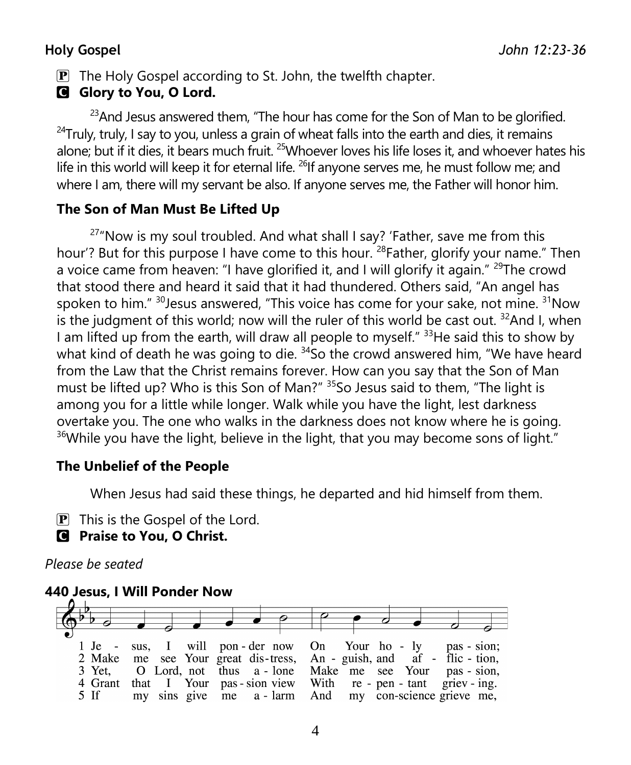$\mathbf{P}$  The Holy Gospel according to St. John, the twelfth chapter.

# C **Glory to You, O Lord.**

 $^{23}$ And Jesus answered them, "The hour has come for the Son of Man to be glorified.  $24$ Truly, truly, I say to you, unless a grain of wheat falls into the earth and dies, it remains alone; but if it dies, it bears much fruit. <sup>25</sup>Whoever loves his life loses it, and whoever hates his life in this world will keep it for eternal life.  $^{26}$ If anyone serves me, he must follow me; and where I am, there will my servant be also. If anyone serves me, the Father will honor him.

## **The Son of Man Must Be Lifted Up**

 $27"$ Now is my soul troubled. And what shall I say? 'Father, save me from this hour'? But for this purpose I have come to this hour. <sup>28</sup> Father, glorify your name." Then a voice came from heaven: "I have glorified it, and I will glorify it again."  $29$ The crowd that stood there and heard it said that it had thundered. Others said, "An angel has spoken to him."  $30$  Jesus answered, "This voice has come for your sake, not mine.  $31$  Now is the judgment of this world; now will the ruler of this world be cast out.  $32$ And I, when I am lifted up from the earth, will draw all people to myself."  $33$ He said this to show by what kind of death he was going to die.  $34$ So the crowd answered him, "We have heard from the Law that the Christ remains forever. How can you say that the Son of Man must be lifted up? Who is this Son of Man?" <sup>35</sup>So Jesus said to them, "The light is among you for a little while longer. Walk while you have the light, lest darkness overtake you. The one who walks in the darkness does not know where he is going.  $36$ While you have the light, believe in the light, that you may become sons of light."

## **The Unbelief of the People**

When Jesus had said these things, he departed and hid himself from them.

- $\overline{P}$  This is the Gospel of the Lord.
- C **Praise to You, O Christ.**

## *Please be seated*

## **440 Jesus, I Will Ponder Now**

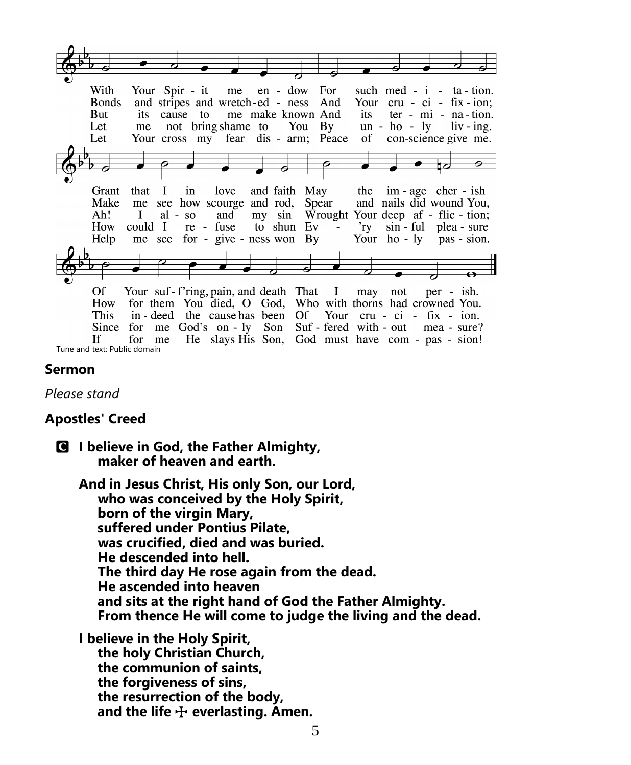|                              | With          |              |    |           | Your Spir - it me en - dow For       |  |                                                             |      | such med - $i$ - ta - tion. |                     |  |
|------------------------------|---------------|--------------|----|-----------|--------------------------------------|--|-------------------------------------------------------------|------|-----------------------------|---------------------|--|
|                              | <b>B</b> onds |              |    |           | and stripes and wretch-ed - ness And |  |                                                             | Your | $cru - ci - fix - ion;$     |                     |  |
|                              | But           |              |    |           | its cause to me make known And       |  |                                                             | its  |                             | ter - mi - na-tion. |  |
|                              | Let           | me           |    |           |                                      |  | not bring shame to You By                                   |      | $un - ho - ly$ liv-ing.     |                     |  |
|                              | Let           |              |    |           |                                      |  | Your cross my fear dis - arm; Peace                         |      | of con-science give me.     |                     |  |
|                              |               |              |    |           |                                      |  |                                                             |      |                             |                     |  |
|                              |               |              |    |           |                                      |  |                                                             |      |                             |                     |  |
|                              |               |              |    |           |                                      |  |                                                             |      |                             | ◘⊘                  |  |
|                              |               |              |    |           |                                      |  |                                                             |      |                             |                     |  |
|                              | Grant         |              |    |           | that I in love                       |  | and faith May the im-age cher-ish                           |      |                             |                     |  |
|                              | Make          |              |    |           |                                      |  | me see how scourge and rod, Spear and nails did wound You,  |      |                             |                     |  |
|                              | Ah!           | $\mathbf{I}$ |    | $al - so$ |                                      |  | and my sin Wrought Your deep af - flic - tion;              |      |                             |                     |  |
|                              | How           | could I      |    |           |                                      |  | re - fuse to shun Ev - 'ry sin - ful plea - sure            |      |                             |                     |  |
|                              | Help          |              |    |           |                                      |  | me see for - give - ness won By Your ho - ly pas - sion.    |      |                             |                     |  |
|                              |               |              |    |           |                                      |  |                                                             |      |                             |                     |  |
|                              |               |              |    |           |                                      |  |                                                             |      |                             |                     |  |
|                              |               |              |    |           |                                      |  |                                                             |      |                             |                     |  |
|                              | Of            |              |    |           |                                      |  | Your suf-f'ring, pain, and death That I may not per - ish.  |      |                             |                     |  |
|                              | How           |              |    |           |                                      |  | for them You died, O God, Who with thorns had crowned You.  |      |                             |                     |  |
|                              | This          |              |    |           |                                      |  | in-deed the cause has been Of Your cru - ci - fix - ion.    |      |                             |                     |  |
|                              | Since         |              |    |           |                                      |  | for me God's on - ly Son Suf - fered with - out mea - sure? |      |                             |                     |  |
|                              | If            | for          | me |           |                                      |  | He slays His Son, God must have com - pas - sion!           |      |                             |                     |  |
| Tune and text: Public domain |               |              |    |           |                                      |  |                                                             |      |                             |                     |  |

#### **Sermon**

*Please stand*

#### **Apostles' Creed**

C **I believe in God, the Father Almighty, maker of heaven and earth.**

**And in Jesus Christ, His only Son, our Lord, who was conceived by the Holy Spirit, born of the virgin Mary, suffered under Pontius Pilate, was crucified, died and was buried. He descended into hell. The third day He rose again from the dead. He ascended into heaven and sits at the right hand of God the Father Almighty. From thence He will come to judge the living and the dead.**

**I believe in the Holy Spirit, the holy Christian Church, the communion of saints, the forgiveness of sins, the resurrection of the body,** and the life  $\bigoplus$  everlasting. Amen.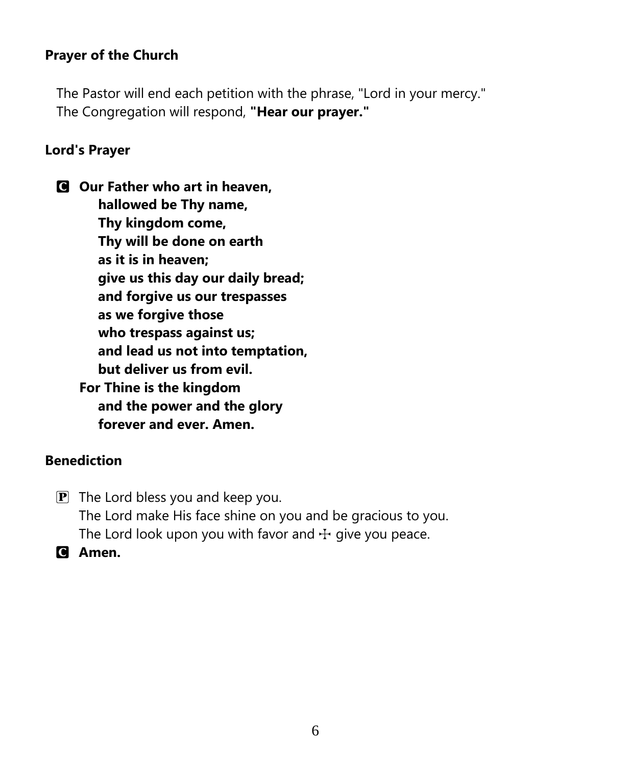## **Prayer of the Church**

The Pastor will end each petition with the phrase, "Lord in your mercy." The Congregation will respond, **"Hear our prayer."**

#### **Lord's Prayer**

C **Our Father who art in heaven, hallowed be Thy name, Thy kingdom come, Thy will be done on earth as it is in heaven; give us this day our daily bread; and forgive us our trespasses as we forgive those who trespass against us; and lead us not into temptation, but deliver us from evil. For Thine is the kingdom and the power and the glory forever and ever. Amen.**

#### **Benediction**

- $\mathbf{P}$  The Lord bless you and keep you. The Lord make His face shine on you and be gracious to you. The Lord look upon you with favor and  $\pm$  give you peace.
- C **Amen.**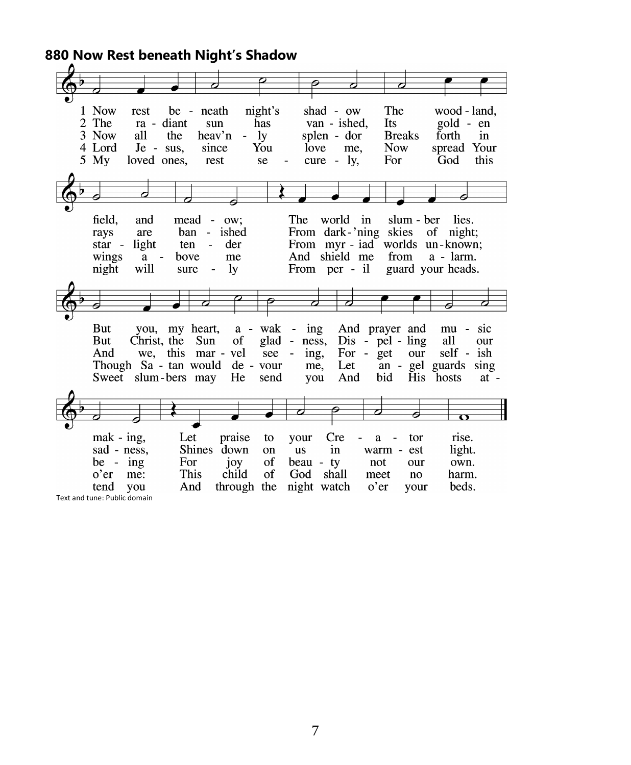**880 Now Rest beneath Night's Shadow**

| 1 Now<br>rest                   | be - neath                      | night's         |                                               | shad - ow       | The                |                               | wood - land,                    |
|---------------------------------|---------------------------------|-----------------|-----------------------------------------------|-----------------|--------------------|-------------------------------|---------------------------------|
| $\overline{2}$<br>The           | ra - diant                      | has<br>sun      |                                               | van - ished,    | Its                | gold - en                     |                                 |
| 3 Now<br>all                    | the                             | $-1y$<br>heav'n |                                               | splen - dor     | <b>Breaks</b>      | forth                         | in                              |
| 4 Lord                          | $Je - sus,$                     | You<br>since    | love                                          | me.             | <b>Now</b>         | spread                        | Your                            |
| $5 \,$ My                       | loved ones,                     | rest<br>se      | cure                                          | ly,<br>$\sim$   | For                | God                           | this                            |
|                                 |                                 |                 |                                               |                 |                    |                               |                                 |
|                                 |                                 |                 |                                               |                 |                    |                               |                                 |
|                                 |                                 |                 |                                               |                 |                    |                               |                                 |
|                                 |                                 |                 |                                               |                 |                    |                               |                                 |
|                                 |                                 |                 |                                               |                 |                    |                               |                                 |
| field.<br>and                   | mead<br>$\sim$                  | ow:             | The                                           | world           | in                 | slum - ber<br>lies.           |                                 |
| are<br>rays                     | ban<br>$\sim$                   | ished           |                                               | From dark-'ning | skies              | of<br>night:                  |                                 |
| light<br>star -                 | ten<br>$\overline{\phantom{a}}$ | der             |                                               |                 |                    | From myr-iad worlds un-known; |                                 |
| wings<br>a                      | $\sim$<br>bove                  | me              | And                                           | shield me       | from               | a - larm.                     |                                 |
| will<br>night                   | sure                            | ly              |                                               | From per - il   |                    | guard your heads.             |                                 |
|                                 |                                 |                 |                                               |                 |                    |                               |                                 |
|                                 |                                 |                 |                                               |                 |                    |                               |                                 |
|                                 |                                 |                 |                                               |                 |                    |                               |                                 |
|                                 |                                 |                 |                                               |                 |                    |                               |                                 |
| But<br>you,                     | my heart,                       | a - wak         | ing<br>$\overline{\phantom{a}}$               |                 | And prayer and     | mu                            | sic<br>$\overline{\phantom{a}}$ |
| But                             | Christ, the<br>Sun              | of              | glad<br>ness,<br>$\qquad \qquad \blacksquare$ |                 | $Dis - pel - ling$ | all                           | our                             |
| And                             |                                 |                 | $\frac{1}{2}$                                 | For -           |                    | self -                        | ish                             |
| we,                             | this mar - vel                  |                 | see<br>ing,                                   |                 | get                | our                           |                                 |
| Though Sa - tan would de - vour |                                 |                 | me,                                           | Let             |                    | an - gel guards               | sing                            |
| Sweet                           | slum-bers may                   | He              | send<br>you                                   | And             | bid                | His hosts                     | $at -$                          |
|                                 |                                 |                 |                                               |                 |                    |                               |                                 |
|                                 |                                 |                 |                                               |                 |                    |                               |                                 |
|                                 |                                 |                 |                                               |                 |                    | Ω                             |                                 |
|                                 |                                 |                 |                                               |                 |                    |                               |                                 |
| $\text{mak}$ - $\text{ing}$ ,   | Let                             | praise<br>to    | your                                          | <b>Cre</b>      | a                  | rise.<br>tor                  |                                 |
| sad - ness,                     | <b>Shines</b>                   | down<br>on      | <b>us</b>                                     | in              | warm -             | light.<br>est                 |                                 |
| be - $ing$                      | For                             | of<br>joy       | beau - ty                                     |                 | not                | our<br>own.                   |                                 |
| o'er<br>me:                     | This                            | of<br>child     | God                                           | shall           | meet               | harm.<br>no                   |                                 |
| tend<br>you                     | And                             | through the     |                                               | night watch     | o'er               | beds.<br>your                 |                                 |
| Text and tune: Public domain    |                                 |                 |                                               |                 |                    |                               |                                 |
|                                 |                                 |                 |                                               |                 |                    |                               |                                 |